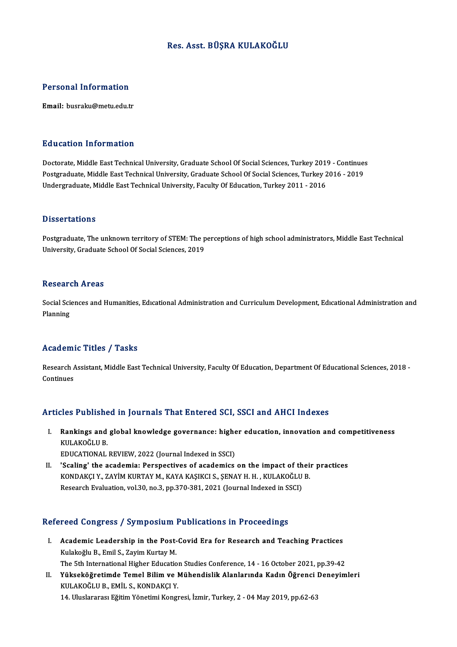### Res. Asst. BÜŞRA KULAKOĞLU

### Personal Information

Email: busraku@metu.edu.tr

### Education Information

Education Information<br>Doctorate, Middle East Technical University, Graduate School Of Social Sciences, Turkey 2019 - Continues<br>Postsraduate Middle East Technical University, Graduate School Of Social Sciences, Turkey 2016 Punculation Throt Innusion<br>Doctorate, Middle East Technical University, Graduate School Of Social Sciences, Turkey 2019 - Continue:<br>Postgraduate, Middle East Technical University, Graduate School Of Social Sciences, Turkey Doctorate, Middle East Technical University, Graduate School Of Social Sciences, Turkey 201'<br>Postgraduate, Middle East Technical University, Graduate School Of Social Sciences, Turkey 2<br>Undergraduate, Middle East Technical Undergraduate, Middle East Technical University, Faculty Of Education, Turkey 2011 - 2016<br>Dissertations

Dissertations<br>Postgraduate, The unknown territory of STEM: The perceptions of high school administrators, Middle East Technical<br>University, Craduate School Of Secial Sciences, 2019 Disbot decroms<br>Postgraduate, The unknown territory of STEM: The p<br>University, Graduate School Of Social Sciences, 2019 University, Graduate School Of Social Sciences, 2019<br>Research Areas

Research Areas<br>Social Sciences and Humanities, Edıcational Administration and Curriculum Development, Edıcational Administration and<br>Planning Resear<br>Social Sci<br>Planning

# Academic Titles / Tasks

**Academic Titles / Tasks**<br>Research Assistant, Middle East Technical University, Faculty Of Education, Department Of Educational Sciences, 2018 -<br>Continues Research Andrews<br>Continues

# Articles Published in Journals That Entered SCI, SSCI and AHCI Indexes

- rticles Published in Journals That Entered SCI, SSCI and AHCI Indexes<br>I. Rankings and global knowledge governance: higher education, innovation and competitiveness<br>KIII AKOČLU P XUS I HIMME<br>Rankings and<br>KULAKOĞLU B.<br>EDUCATIONAL Rankings and global knowledge governance: highe<br>KULAKOĞLU B.<br>EDUCATIONAL REVIEW, 2022 (Journal Indexed in SSCI)<br>'Scaling' the asademia: Perspectives of asademias KULAKOĞLU B.<br>EDUCATIONAL REVIEW, 2022 (Journal Indexed in SSCI)<br>II. Scaling' the academia: Perspectives of academics on the impact of their practices<br>KONDAKCLV, ZAVIM KUPTAV M. KAVA KASIKCLS, SENAV H. H. KULAKOĞLU B.
- EDUCATIONAL REVIEW, 2022 (Journal Indexed in SSCI)<br>'Scaling' the academia: Perspectives of academics on the impact of their<br>KONDAKÇI Y., ZAYİM KURTAY M., KAYA KAŞIKCI S., ŞENAY H. H. , KULAKOĞLU B.<br>Besearsh Evaluation vel 'Scaling' the academia: Perspectives of academics on the impact of th<br>KONDAKÇI Y., ZAYİM KURTAY M., KAYA KAŞIKCI S., ŞENAY H. H. , KULAKOĞLU<br>Research Evaluation, vol.30, no.3, pp.370-381, 2021 (Journal Indexed in SSCI)

# Research Evaluation, vol.30, no.3, pp.370-381, 2021 (Journal Indexed in SSCI)<br>Refereed Congress / Symposium Publications in Proceedings

- efereed Congress / Symposium Publications in Proceedings<br>I. Academic Leadership in the Post-Covid Era for Research and Teaching Practices<br>Kulakağlu B. Emil S. Zavim Kurtay M Recall design tool for the problem.<br>Academic Leadership in the Post-<br>Kulakoğlu B., Emil S., Zayim Kurtay M.<br>The Eth International Higher Educatio Kulakoğlu B., Emil S., Zayim Kurtay M.<br>The 5th International Higher Education Studies Conference, 14 - 16 October 2021, pp.39-42
- Kulakoğlu B., Emil S., Zayim Kurtay M.<br>1994-The 5th International Higher Education Studies Conference, 14 16 October 2021, pp.39-42<br>11. Yükseköğretimde Temel Bilim ve Mühendislik Alanlarında Kadın Öğrenci Deneyimleri<br>199 The 5th International Higher Education<br>**Yükseköğretimde Temel Bilim ve l<br>KULAKOĞLU B., EMİL S., KONDAKÇI Y.**<br>14 Hluckeresa Fğitim Yönetimi Kongr Yükseköğretimde Temel Bilim ve Mühendislik Alanlarında Kadın Öğrenci |<br>KULAKOĞLU B., EMİL S., KONDAKÇI Y.<br>14. Uluslararası Eğitim Yönetimi Kongresi, İzmir, Turkey, 2 - 04 May 2019, pp.62-63